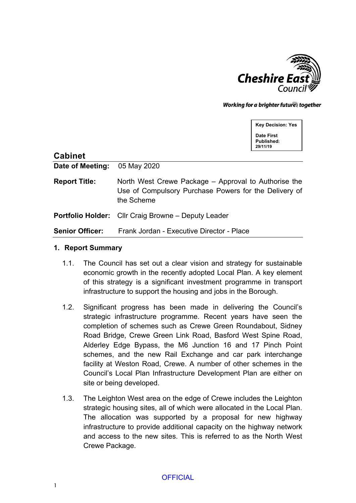

Working for a brighter futures together

**Key Decision: Yes**

**Date First Published: 29/11/19**

| <b>Cabinet</b>         |                                                                                                                             |
|------------------------|-----------------------------------------------------------------------------------------------------------------------------|
| Date of Meeting:       | 05 May 2020                                                                                                                 |
| <b>Report Title:</b>   | North West Crewe Package – Approval to Authorise the<br>Use of Compulsory Purchase Powers for the Delivery of<br>the Scheme |
|                        | <b>Portfolio Holder:</b> Cllr Craig Browne – Deputy Leader                                                                  |
| <b>Senior Officer:</b> | Frank Jordan - Executive Director - Place                                                                                   |

#### **1. Report Summary**

- 1.1. The Council has set out a clear vision and strategy for sustainable economic growth in the recently adopted Local Plan. A key element of this strategy is a significant investment programme in transport infrastructure to support the housing and jobs in the Borough.
- 1.2. Significant progress has been made in delivering the Council's strategic infrastructure programme. Recent years have seen the completion of schemes such as Crewe Green Roundabout, Sidney Road Bridge, Crewe Green Link Road, Basford West Spine Road, Alderley Edge Bypass, the M6 Junction 16 and 17 Pinch Point schemes, and the new Rail Exchange and car park interchange facility at Weston Road, Crewe. A number of other schemes in the Council's Local Plan Infrastructure Development Plan are either on site or being developed.
- 1.3. The Leighton West area on the edge of Crewe includes the Leighton strategic housing sites, all of which were allocated in the Local Plan. The allocation was supported by a proposal for new highway infrastructure to provide additional capacity on the highway network and access to the new sites. This is referred to as the North West Crewe Package.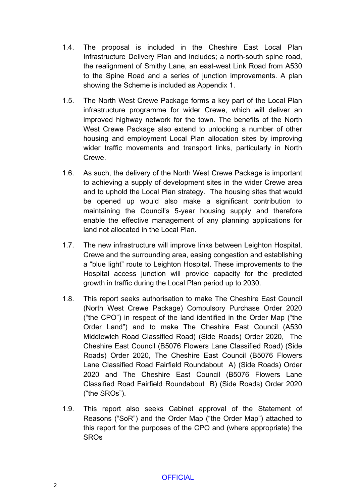- 1.4. The proposal is included in the Cheshire East Local Plan Infrastructure Delivery Plan and includes; a north-south spine road, the realignment of Smithy Lane, an east-west Link Road from A530 to the Spine Road and a series of junction improvements. A plan showing the Scheme is included as Appendix 1.
- 1.5. The North West Crewe Package forms a key part of the Local Plan infrastructure programme for wider Crewe, which will deliver an improved highway network for the town. The benefits of the North West Crewe Package also extend to unlocking a number of other housing and employment Local Plan allocation sites by improving wider traffic movements and transport links, particularly in North Crewe.
- 1.6. As such, the delivery of the North West Crewe Package is important to achieving a supply of development sites in the wider Crewe area and to uphold the Local Plan strategy. The housing sites that would be opened up would also make a significant contribution to maintaining the Council's 5-year housing supply and therefore enable the effective management of any planning applications for land not allocated in the Local Plan.
- 1.7. The new infrastructure will improve links between Leighton Hospital, Crewe and the surrounding area, easing congestion and establishing a "blue light" route to Leighton Hospital. These improvements to the Hospital access junction will provide capacity for the predicted growth in traffic during the Local Plan period up to 2030.
- 1.8. This report seeks authorisation to make The Cheshire East Council (North West Crewe Package) Compulsory Purchase Order 2020 ("the CPO") in respect of the land identified in the Order Map ("the Order Land") and to make The Cheshire East Council (A530 Middlewich Road Classified Road) (Side Roads) Order 2020, The Cheshire East Council (B5076 Flowers Lane Classified Road) (Side Roads) Order 2020, The Cheshire East Council (B5076 Flowers Lane Classified Road Fairfield Roundabout A) (Side Roads) Order 2020 and The Cheshire East Council (B5076 Flowers Lane Classified Road Fairfield Roundabout B) (Side Roads) Order 2020 ("the SROs").
- 1.9. This report also seeks Cabinet approval of the Statement of Reasons ("SoR") and the Order Map ("the Order Map") attached to this report for the purposes of the CPO and (where appropriate) the SROs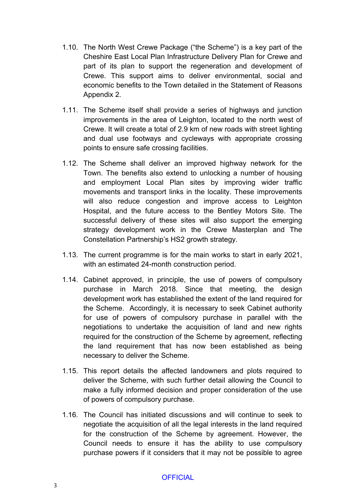- 1.10. The North West Crewe Package ("the Scheme") is a key part of the Cheshire East Local Plan Infrastructure Delivery Plan for Crewe and part of its plan to support the regeneration and development of Crewe. This support aims to deliver environmental, social and economic benefits to the Town detailed in the Statement of Reasons Appendix 2.
- 1.11. The Scheme itself shall provide a series of highways and junction improvements in the area of Leighton, located to the north west of Crewe. It will create a total of 2.9 km of new roads with street lighting and dual use footways and cycleways with appropriate crossing points to ensure safe crossing facilities.
- 1.12. The Scheme shall deliver an improved highway network for the Town. The benefits also extend to unlocking a number of housing and employment Local Plan sites by improving wider traffic movements and transport links in the locality. These improvements will also reduce congestion and improve access to Leighton Hospital, and the future access to the Bentley Motors Site. The successful delivery of these sites will also support the emerging strategy development work in the Crewe Masterplan and The Constellation Partnership's HS2 growth strategy.
- 1.13. The current programme is for the main works to start in early 2021, with an estimated 24-month construction period.
- 1.14. Cabinet approved, in principle, the use of powers of compulsory purchase in March 2018. Since that meeting, the design development work has established the extent of the land required for the Scheme. Accordingly, it is necessary to seek Cabinet authority for use of powers of compulsory purchase in parallel with the negotiations to undertake the acquisition of land and new rights required for the construction of the Scheme by agreement, reflecting the land requirement that has now been established as being necessary to deliver the Scheme.
- 1.15. This report details the affected landowners and plots required to deliver the Scheme, with such further detail allowing the Council to make a fully informed decision and proper consideration of the use of powers of compulsory purchase.
- 1.16. The Council has initiated discussions and will continue to seek to negotiate the acquisition of all the legal interests in the land required for the construction of the Scheme by agreement. However, the Council needs to ensure it has the ability to use compulsory purchase powers if it considers that it may not be possible to agree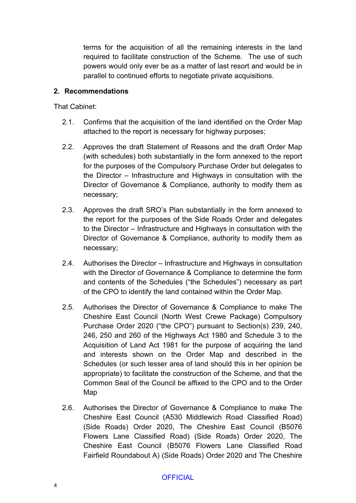terms for the acquisition of all the remaining interests in the land required to facilitate construction of the Scheme. The use of such powers would only ever be as a matter of last resort and would be in parallel to continued efforts to negotiate private acquisitions.

### **2. Recommendations**

That Cabinet:

- 2.1. Confirms that the acquisition of the land identified on the Order Map attached to the report is necessary for highway purposes;
- 2.2. Approves the draft Statement of Reasons and the draft Order Map (with schedules) both substantially in the form annexed to the report for the purposes of the Compulsory Purchase Order but delegates to the Director – Infrastructure and Highways in consultation with the Director of Governance & Compliance, authority to modify them as necessary;
- 2.3. Approves the draft SRO's Plan substantially in the form annexed to the report for the purposes of the Side Roads Order and delegates to the Director – Infrastructure and Highways in consultation with the Director of Governance & Compliance, authority to modify them as necessary;
- 2.4. Authorises the Director Infrastructure and Highways in consultation with the Director of Governance & Compliance to determine the form and contents of the Schedules ("the Schedules") necessary as part of the CPO to identify the land contained within the Order Map.
- 2.5. Authorises the Director of Governance & Compliance to make The Cheshire East Council (North West Crewe Package) Compulsory Purchase Order 2020 ("the CPO") pursuant to Section(s) 239, 240, 246, 250 and 260 of the Highways Act 1980 and Schedule 3 to the Acquisition of Land Act 1981 for the purpose of acquiring the land and interests shown on the Order Map and described in the Schedules (or such lesser area of land should this in her opinion be appropriate) to facilitate the construction of the Scheme, and that the Common Seal of the Council be affixed to the CPO and to the Order Map
- 2.6. Authorises the Director of Governance & Compliance to make The Cheshire East Council (A530 Middlewich Road Classified Road) (Side Roads) Order 2020, The Cheshire East Council (B5076 Flowers Lane Classified Road) (Side Roads) Order 2020, The Cheshire East Council (B5076 Flowers Lane Classified Road Fairfield Roundabout A) (Side Roads) Order 2020 and The Cheshire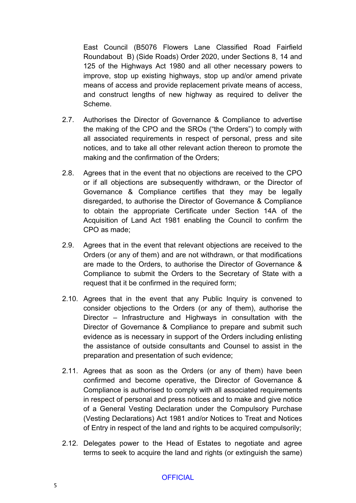East Council (B5076 Flowers Lane Classified Road Fairfield Roundabout B) (Side Roads) Order 2020, under Sections 8, 14 and 125 of the Highways Act 1980 and all other necessary powers to improve, stop up existing highways, stop up and/or amend private means of access and provide replacement private means of access, and construct lengths of new highway as required to deliver the Scheme.

- 2.7. Authorises the Director of Governance & Compliance to advertise the making of the CPO and the SROs ("the Orders") to comply with all associated requirements in respect of personal, press and site notices, and to take all other relevant action thereon to promote the making and the confirmation of the Orders;
- 2.8. Agrees that in the event that no objections are received to the CPO or if all objections are subsequently withdrawn, or the Director of Governance & Compliance certifies that they may be legally disregarded, to authorise the Director of Governance & Compliance to obtain the appropriate Certificate under Section 14A of the Acquisition of Land Act 1981 enabling the Council to confirm the CPO as made;
- 2.9. Agrees that in the event that relevant objections are received to the Orders (or any of them) and are not withdrawn, or that modifications are made to the Orders, to authorise the Director of Governance & Compliance to submit the Orders to the Secretary of State with a request that it be confirmed in the required form;
- 2.10. Agrees that in the event that any Public Inquiry is convened to consider objections to the Orders (or any of them), authorise the Director – Infrastructure and Highways in consultation with the Director of Governance & Compliance to prepare and submit such evidence as is necessary in support of the Orders including enlisting the assistance of outside consultants and Counsel to assist in the preparation and presentation of such evidence;
- 2.11. Agrees that as soon as the Orders (or any of them) have been confirmed and become operative, the Director of Governance & Compliance is authorised to comply with all associated requirements in respect of personal and press notices and to make and give notice of a General Vesting Declaration under the Compulsory Purchase (Vesting Declarations) Act 1981 and/or Notices to Treat and Notices of Entry in respect of the land and rights to be acquired compulsorily;
- 2.12. Delegates power to the Head of Estates to negotiate and agree terms to seek to acquire the land and rights (or extinguish the same)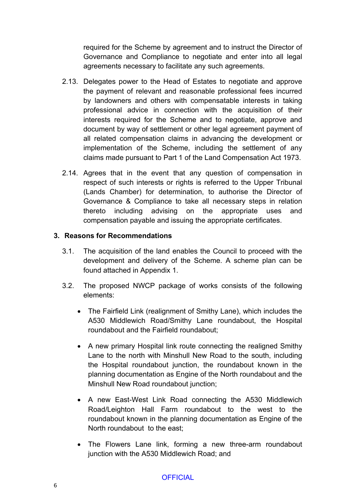required for the Scheme by agreement and to instruct the Director of Governance and Compliance to negotiate and enter into all legal agreements necessary to facilitate any such agreements.

- 2.13. Delegates power to the Head of Estates to negotiate and approve the payment of relevant and reasonable professional fees incurred by landowners and others with compensatable interests in taking professional advice in connection with the acquisition of their interests required for the Scheme and to negotiate, approve and document by way of settlement or other legal agreement payment of all related compensation claims in advancing the development or implementation of the Scheme, including the settlement of any claims made pursuant to Part 1 of the Land Compensation Act 1973.
- 2.14. Agrees that in the event that any question of compensation in respect of such interests or rights is referred to the Upper Tribunal (Lands Chamber) for determination, to authorise the Director of Governance & Compliance to take all necessary steps in relation thereto including advising on the appropriate uses and compensation payable and issuing the appropriate certificates.

### **3. Reasons for Recommendations**

- 3.1. The acquisition of the land enables the Council to proceed with the development and delivery of the Scheme. A scheme plan can be found attached in Appendix 1.
- 3.2. The proposed NWCP package of works consists of the following elements:
	- The Fairfield Link (realignment of Smithy Lane), which includes the A530 Middlewich Road/Smithy Lane roundabout, the Hospital roundabout and the Fairfield roundabout;
	- A new primary Hospital link route connecting the realigned Smithy Lane to the north with Minshull New Road to the south, including the Hospital roundabout junction, the roundabout known in the planning documentation as Engine of the North roundabout and the Minshull New Road roundabout junction;
	- A new East-West Link Road connecting the A530 Middlewich Road/Leighton Hall Farm roundabout to the west to the roundabout known in the planning documentation as Engine of the North roundabout to the east;
	- The Flowers Lane link, forming a new three-arm roundabout junction with the A530 Middlewich Road; and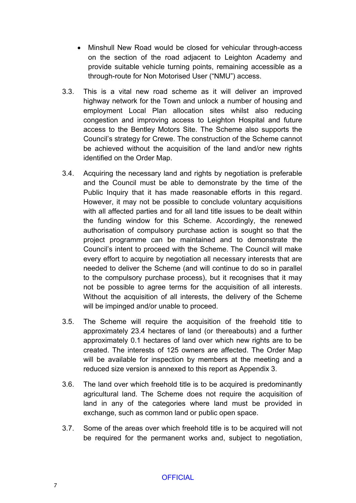- Minshull New Road would be closed for vehicular through-access on the section of the road adjacent to Leighton Academy and provide suitable vehicle turning points, remaining accessible as a through-route for Non Motorised User ("NMU") access.
- 3.3. This is a vital new road scheme as it will deliver an improved highway network for the Town and unlock a number of housing and employment Local Plan allocation sites whilst also reducing congestion and improving access to Leighton Hospital and future access to the Bentley Motors Site. The Scheme also supports the Council's strategy for Crewe. The construction of the Scheme cannot be achieved without the acquisition of the land and/or new rights identified on the Order Map.
- 3.4. Acquiring the necessary land and rights by negotiation is preferable and the Council must be able to demonstrate by the time of the Public Inquiry that it has made reasonable efforts in this regard. However, it may not be possible to conclude voluntary acquisitions with all affected parties and for all land title issues to be dealt within the funding window for this Scheme. Accordingly, the renewed authorisation of compulsory purchase action is sought so that the project programme can be maintained and to demonstrate the Council's intent to proceed with the Scheme. The Council will make every effort to acquire by negotiation all necessary interests that are needed to deliver the Scheme (and will continue to do so in parallel to the compulsory purchase process), but it recognises that it may not be possible to agree terms for the acquisition of all interests. Without the acquisition of all interests, the delivery of the Scheme will be impinged and/or unable to proceed.
- 3.5. The Scheme will require the acquisition of the freehold title to approximately 23.4 hectares of land (or thereabouts) and a further approximately 0.1 hectares of land over which new rights are to be created. The interests of 125 owners are affected. The Order Map will be available for inspection by members at the meeting and a reduced size version is annexed to this report as Appendix 3.
- 3.6. The land over which freehold title is to be acquired is predominantly agricultural land. The Scheme does not require the acquisition of land in any of the categories where land must be provided in exchange, such as common land or public open space.
- 3.7. Some of the areas over which freehold title is to be acquired will not be required for the permanent works and, subject to negotiation,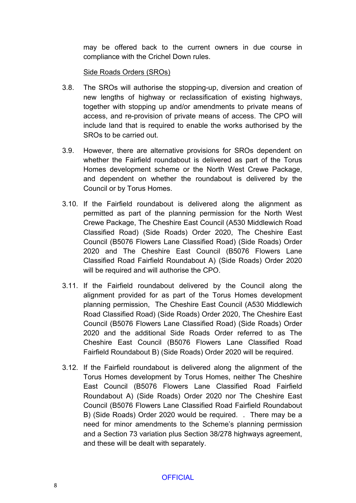may be offered back to the current owners in due course in compliance with the Crichel Down rules.

#### Side Roads Orders (SROs)

- 3.8. The SROs will authorise the stopping-up, diversion and creation of new lengths of highway or reclassification of existing highways, together with stopping up and/or amendments to private means of access, and re-provision of private means of access. The CPO will include land that is required to enable the works authorised by the SROs to be carried out.
- 3.9. However, there are alternative provisions for SROs dependent on whether the Fairfield roundabout is delivered as part of the Torus Homes development scheme or the North West Crewe Package, and dependent on whether the roundabout is delivered by the Council or by Torus Homes.
- 3.10. If the Fairfield roundabout is delivered along the alignment as permitted as part of the planning permission for the North West Crewe Package, The Cheshire East Council (A530 Middlewich Road Classified Road) (Side Roads) Order 2020, The Cheshire East Council (B5076 Flowers Lane Classified Road) (Side Roads) Order 2020 and The Cheshire East Council (B5076 Flowers Lane Classified Road Fairfield Roundabout A) (Side Roads) Order 2020 will be required and will authorise the CPO.
- 3.11. If the Fairfield roundabout delivered by the Council along the alignment provided for as part of the Torus Homes development planning permission, The Cheshire East Council (A530 Middlewich Road Classified Road) (Side Roads) Order 2020, The Cheshire East Council (B5076 Flowers Lane Classified Road) (Side Roads) Order 2020 and the additional Side Roads Order referred to as The Cheshire East Council (B5076 Flowers Lane Classified Road Fairfield Roundabout B) (Side Roads) Order 2020 will be required.
- 3.12. If the Fairfield roundabout is delivered along the alignment of the Torus Homes development by Torus Homes, neither The Cheshire East Council (B5076 Flowers Lane Classified Road Fairfield Roundabout A) (Side Roads) Order 2020 nor The Cheshire East Council (B5076 Flowers Lane Classified Road Fairfield Roundabout B) (Side Roads) Order 2020 would be required. . There may be a need for minor amendments to the Scheme's planning permission and a Section 73 variation plus Section 38/278 highways agreement, and these will be dealt with separately.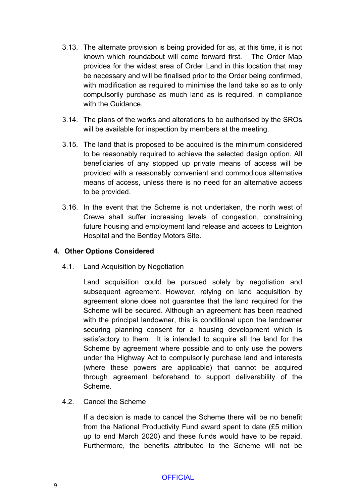- 3.13. The alternate provision is being provided for as, at this time, it is not known which roundabout will come forward first. The Order Map provides for the widest area of Order Land in this location that may be necessary and will be finalised prior to the Order being confirmed, with modification as required to minimise the land take so as to only compulsorily purchase as much land as is required, in compliance with the Guidance.
- 3.14. The plans of the works and alterations to be authorised by the SROs will be available for inspection by members at the meeting.
- 3.15. The land that is proposed to be acquired is the minimum considered to be reasonably required to achieve the selected design option. All beneficiaries of any stopped up private means of access will be provided with a reasonably convenient and commodious alternative means of access, unless there is no need for an alternative access to be provided.
- 3.16. In the event that the Scheme is not undertaken, the north west of Crewe shall suffer increasing levels of congestion, constraining future housing and employment land release and access to Leighton Hospital and the Bentley Motors Site.

### **4. Other Options Considered**

4.1. Land Acquisition by Negotiation

Land acquisition could be pursued solely by negotiation and subsequent agreement. However, relying on land acquisition by agreement alone does not guarantee that the land required for the Scheme will be secured. Although an agreement has been reached with the principal landowner, this is conditional upon the landowner securing planning consent for a housing development which is satisfactory to them. It is intended to acquire all the land for the Scheme by agreement where possible and to only use the powers under the Highway Act to compulsorily purchase land and interests (where these powers are applicable) that cannot be acquired through agreement beforehand to support deliverability of the Scheme.

## 4.2. Cancel the Scheme

If a decision is made to cancel the Scheme there will be no benefit from the National Productivity Fund award spent to date (£5 million up to end March 2020) and these funds would have to be repaid. Furthermore, the benefits attributed to the Scheme will not be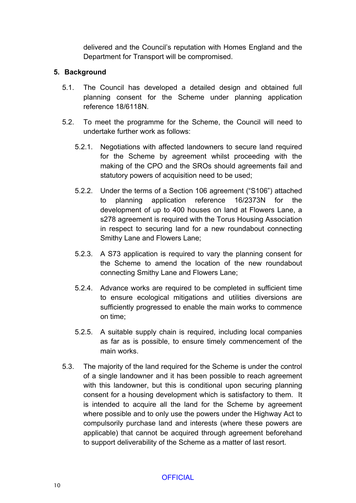delivered and the Council's reputation with Homes England and the Department for Transport will be compromised.

### **5. Background**

- 5.1. The Council has developed a detailed design and obtained full planning consent for the Scheme under planning application reference 18/6118N.
- 5.2. To meet the programme for the Scheme, the Council will need to undertake further work as follows:
	- 5.2.1. Negotiations with affected landowners to secure land required for the Scheme by agreement whilst proceeding with the making of the CPO and the SROs should agreements fail and statutory powers of acquisition need to be used;
	- 5.2.2. Under the terms of a Section 106 agreement ("S106") attached to planning application reference 16/2373N for the development of up to 400 houses on land at Flowers Lane, a s278 agreement is required with the Torus Housing Association in respect to securing land for a new roundabout connecting Smithy Lane and Flowers Lane;
	- 5.2.3. A S73 application is required to vary the planning consent for the Scheme to amend the location of the new roundabout connecting Smithy Lane and Flowers Lane;
	- 5.2.4. Advance works are required to be completed in sufficient time to ensure ecological mitigations and utilities diversions are sufficiently progressed to enable the main works to commence on time;
	- 5.2.5. A suitable supply chain is required, including local companies as far as is possible, to ensure timely commencement of the main works.
- 5.3. The majority of the land required for the Scheme is under the control of a single landowner and it has been possible to reach agreement with this landowner, but this is conditional upon securing planning consent for a housing development which is satisfactory to them. It is intended to acquire all the land for the Scheme by agreement where possible and to only use the powers under the Highway Act to compulsorily purchase land and interests (where these powers are applicable) that cannot be acquired through agreement beforehand to support deliverability of the Scheme as a matter of last resort.

## **OFFICIAL**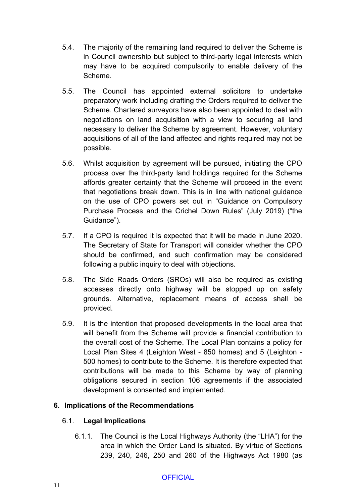- 5.4. The majority of the remaining land required to deliver the Scheme is in Council ownership but subject to third-party legal interests which may have to be acquired compulsorily to enable delivery of the Scheme.
- 5.5. The Council has appointed external solicitors to undertake preparatory work including drafting the Orders required to deliver the Scheme. Chartered surveyors have also been appointed to deal with negotiations on land acquisition with a view to securing all land necessary to deliver the Scheme by agreement. However, voluntary acquisitions of all of the land affected and rights required may not be possible.
- 5.6. Whilst acquisition by agreement will be pursued, initiating the CPO process over the third-party land holdings required for the Scheme affords greater certainty that the Scheme will proceed in the event that negotiations break down. This is in line with national guidance on the use of CPO powers set out in "Guidance on Compulsory Purchase Process and the Crichel Down Rules" (July 2019) ("the Guidance").
- 5.7. If a CPO is required it is expected that it will be made in June 2020. The Secretary of State for Transport will consider whether the CPO should be confirmed, and such confirmation may be considered following a public inquiry to deal with objections.
- 5.8. The Side Roads Orders (SROs) will also be required as existing accesses directly onto highway will be stopped up on safety grounds. Alternative, replacement means of access shall be provided.
- 5.9. It is the intention that proposed developments in the local area that will benefit from the Scheme will provide a financial contribution to the overall cost of the Scheme. The Local Plan contains a policy for Local Plan Sites 4 (Leighton West - 850 homes) and 5 (Leighton - 500 homes) to contribute to the Scheme. It is therefore expected that contributions will be made to this Scheme by way of planning obligations secured in section 106 agreements if the associated development is consented and implemented.

## **6. Implications of the Recommendations**

#### 6.1. **Legal Implications**

6.1.1. The Council is the Local Highways Authority (the "LHA") for the area in which the Order Land is situated. By virtue of Sections 239, 240, 246, 250 and 260 of the Highways Act 1980 (as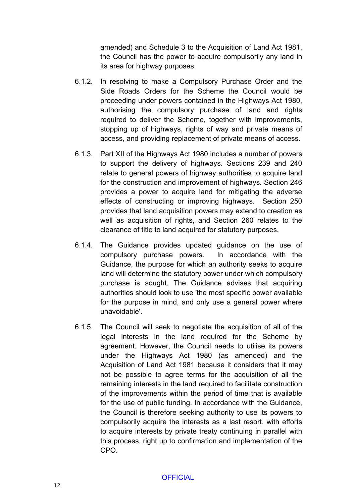amended) and Schedule 3 to the Acquisition of Land Act 1981, the Council has the power to acquire compulsorily any land in its area for highway purposes.

- 6.1.2. In resolving to make a Compulsory Purchase Order and the Side Roads Orders for the Scheme the Council would be proceeding under powers contained in the Highways Act 1980, authorising the compulsory purchase of land and rights required to deliver the Scheme, together with improvements, stopping up of highways, rights of way and private means of access, and providing replacement of private means of access.
- 6.1.3. Part XII of the Highways Act 1980 includes a number of powers to support the delivery of highways. Sections 239 and 240 relate to general powers of highway authorities to acquire land for the construction and improvement of highways. Section 246 provides a power to acquire land for mitigating the adverse effects of constructing or improving highways. Section 250 provides that land acquisition powers may extend to creation as well as acquisition of rights, and Section 260 relates to the clearance of title to land acquired for statutory purposes.
- 6.1.4. The Guidance provides updated guidance on the use of compulsory purchase powers. In accordance with the Guidance, the purpose for which an authority seeks to acquire land will determine the statutory power under which compulsory purchase is sought. The Guidance advises that acquiring authorities should look to use 'the most specific power available for the purpose in mind, and only use a general power where unavoidable'.
- 6.1.5. The Council will seek to negotiate the acquisition of all of the legal interests in the land required for the Scheme by agreement. However, the Council needs to utilise its powers under the Highways Act 1980 (as amended) and the Acquisition of Land Act 1981 because it considers that it may not be possible to agree terms for the acquisition of all the remaining interests in the land required to facilitate construction of the improvements within the period of time that is available for the use of public funding. In accordance with the Guidance, the Council is therefore seeking authority to use its powers to compulsorily acquire the interests as a last resort, with efforts to acquire interests by private treaty continuing in parallel with this process, right up to confirmation and implementation of the CPO.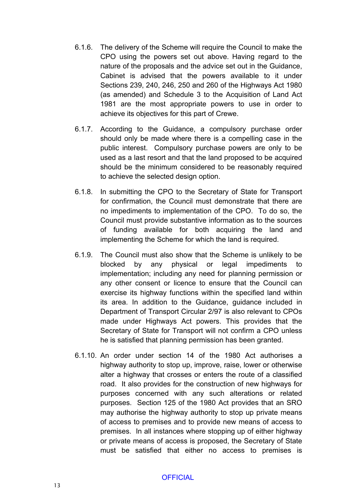- 6.1.6. The delivery of the Scheme will require the Council to make the CPO using the powers set out above. Having regard to the nature of the proposals and the advice set out in the Guidance, Cabinet is advised that the powers available to it under Sections 239, 240, 246, 250 and 260 of the Highways Act 1980 (as amended) and Schedule 3 to the Acquisition of Land Act 1981 are the most appropriate powers to use in order to achieve its objectives for this part of Crewe.
- 6.1.7. According to the Guidance, a compulsory purchase order should only be made where there is a compelling case in the public interest. Compulsory purchase powers are only to be used as a last resort and that the land proposed to be acquired should be the minimum considered to be reasonably required to achieve the selected design option.
- 6.1.8. In submitting the CPO to the Secretary of State for Transport for confirmation, the Council must demonstrate that there are no impediments to implementation of the CPO. To do so, the Council must provide substantive information as to the sources of funding available for both acquiring the land and implementing the Scheme for which the land is required.
- 6.1.9. The Council must also show that the Scheme is unlikely to be blocked by any physical or legal impediments to implementation; including any need for planning permission or any other consent or licence to ensure that the Council can exercise its highway functions within the specified land within its area. In addition to the Guidance, guidance included in Department of Transport Circular 2/97 is also relevant to CPOs made under Highways Act powers. This provides that the Secretary of State for Transport will not confirm a CPO unless he is satisfied that planning permission has been granted.
- 6.1.10. An order under section 14 of the 1980 Act authorises a highway authority to stop up, improve, raise, lower or otherwise alter a highway that crosses or enters the route of a classified road. It also provides for the construction of new highways for purposes concerned with any such alterations or related purposes. Section 125 of the 1980 Act provides that an SRO may authorise the highway authority to stop up private means of access to premises and to provide new means of access to premises. In all instances where stopping up of either highway or private means of access is proposed, the Secretary of State must be satisfied that either no access to premises is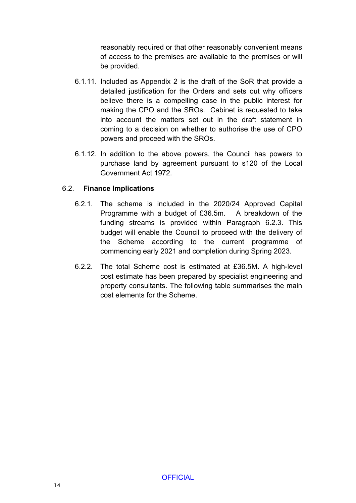reasonably required or that other reasonably convenient means of access to the premises are available to the premises or will be provided.

- 6.1.11. Included as Appendix 2 is the draft of the SoR that provide a detailed justification for the Orders and sets out why officers believe there is a compelling case in the public interest for making the CPO and the SROs. Cabinet is requested to take into account the matters set out in the draft statement in coming to a decision on whether to authorise the use of CPO powers and proceed with the SROs.
- 6.1.12. In addition to the above powers, the Council has powers to purchase land by agreement pursuant to s120 of the Local Government Act 1972.

## 6.2. **Finance Implications**

- 6.2.1. The scheme is included in the 2020/24 Approved Capital Programme with a budget of £36.5m. A breakdown of the funding streams is provided within Paragraph 6.2.3. This budget will enable the Council to proceed with the delivery of the Scheme according to the current programme of commencing early 2021 and completion during Spring 2023.
- 6.2.2. The total Scheme cost is estimated at £36.5M. A high-level cost estimate has been prepared by specialist engineering and property consultants. The following table summarises the main cost elements for the Scheme.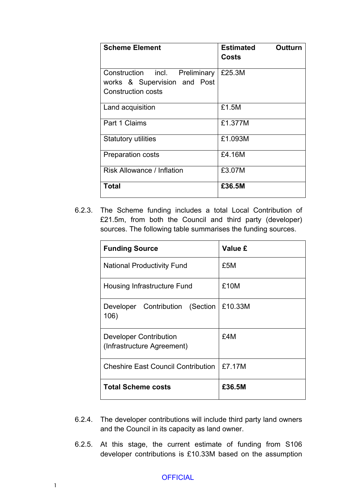| <b>Scheme Element</b>                                                                       | Outturn<br><b>Estimated</b><br>Costs |
|---------------------------------------------------------------------------------------------|--------------------------------------|
| Construction incl. Preliminary<br>works & Supervision and Post<br><b>Construction costs</b> | £25.3M                               |
| Land acquisition                                                                            | £1.5M                                |
| Part 1 Claims                                                                               | £1.377M                              |
| <b>Statutory utilities</b>                                                                  | £1.093M                              |
| <b>Preparation costs</b>                                                                    | £4.16M                               |
| <b>Risk Allowance / Inflation</b>                                                           | £3.07M                               |
| Total                                                                                       | £36.5M                               |

6.2.3. The Scheme funding includes a total Local Contribution of £21.5m, from both the Council and third party (developer) sources. The following table summarises the funding sources.

| <b>Funding Source</b>                                       | Value £ |
|-------------------------------------------------------------|---------|
| <b>National Productivity Fund</b>                           | £5M     |
| Housing Infrastructure Fund                                 | £10M    |
| Developer Contribution (Section<br>106)                     | £10.33M |
| <b>Developer Contribution</b><br>(Infrastructure Agreement) | £4M     |
| <b>Cheshire East Council Contribution</b>                   | £7.17M  |
| <b>Total Scheme costs</b>                                   | £36.5M  |

- 6.2.4. The developer contributions will include third party land owners and the Council in its capacity as land owner.
- 6.2.5. At this stage, the current estimate of funding from S106 developer contributions is £10.33M based on the assumption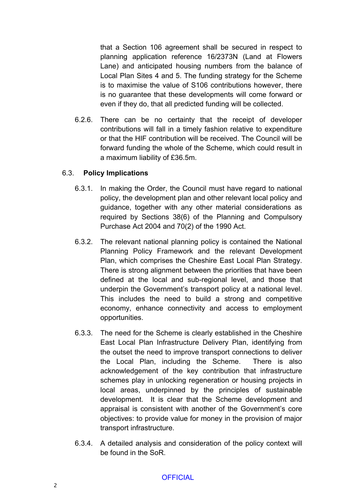that a Section 106 agreement shall be secured in respect to planning application reference 16/2373N (Land at Flowers Lane) and anticipated housing numbers from the balance of Local Plan Sites 4 and 5. The funding strategy for the Scheme is to maximise the value of S106 contributions however, there is no guarantee that these developments will come forward or even if they do, that all predicted funding will be collected.

6.2.6. There can be no certainty that the receipt of developer contributions will fall in a timely fashion relative to expenditure or that the HIF contribution will be received. The Council will be forward funding the whole of the Scheme, which could result in a maximum liability of £36.5m.

#### 6.3. **Policy Implications**

- 6.3.1. In making the Order, the Council must have regard to national policy, the development plan and other relevant local policy and guidance, together with any other material considerations as required by Sections 38(6) of the Planning and Compulsory Purchase Act 2004 and 70(2) of the 1990 Act.
- 6.3.2. The relevant national planning policy is contained the National Planning Policy Framework and the relevant Development Plan, which comprises the Cheshire East Local Plan Strategy. There is strong alignment between the priorities that have been defined at the local and sub-regional level, and those that underpin the Government's transport policy at a national level. This includes the need to build a strong and competitive economy, enhance connectivity and access to employment opportunities.
- 6.3.3. The need for the Scheme is clearly established in the Cheshire East Local Plan Infrastructure Delivery Plan, identifying from the outset the need to improve transport connections to deliver the Local Plan, including the Scheme. There is also acknowledgement of the key contribution that infrastructure schemes play in unlocking regeneration or housing projects in local areas, underpinned by the principles of sustainable development. It is clear that the Scheme development and appraisal is consistent with another of the Government's core objectives: to provide value for money in the provision of major transport infrastructure.
- 6.3.4. A detailed analysis and consideration of the policy context will be found in the SoR.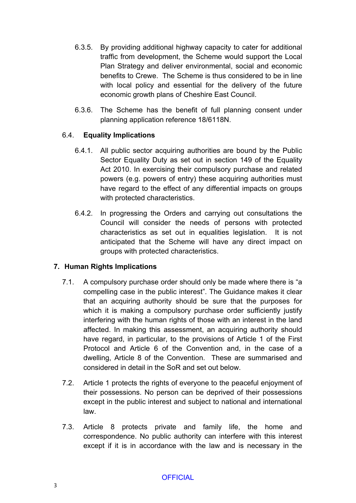- 6.3.5. By providing additional highway capacity to cater for additional traffic from development, the Scheme would support the Local Plan Strategy and deliver environmental, social and economic benefits to Crewe. The Scheme is thus considered to be in line with local policy and essential for the delivery of the future economic growth plans of Cheshire East Council.
- 6.3.6. The Scheme has the benefit of full planning consent under planning application reference 18/6118N.

## 6.4. **Equality Implications**

- 6.4.1. All public sector acquiring authorities are bound by the Public Sector Equality Duty as set out in section 149 of the Equality Act 2010. In exercising their compulsory purchase and related powers (e.g. powers of entry) these acquiring authorities must have regard to the effect of any differential impacts on groups with protected characteristics.
- 6.4.2. In progressing the Orders and carrying out consultations the Council will consider the needs of persons with protected characteristics as set out in equalities legislation. It is not anticipated that the Scheme will have any direct impact on groups with protected characteristics.

## **7. Human Rights Implications**

- 7.1. A compulsory purchase order should only be made where there is "a compelling case in the public interest". The Guidance makes it clear that an acquiring authority should be sure that the purposes for which it is making a compulsory purchase order sufficiently justify interfering with the human rights of those with an interest in the land affected. In making this assessment, an acquiring authority should have regard, in particular, to the provisions of Article 1 of the First Protocol and Article 6 of the Convention and, in the case of a dwelling, Article 8 of the Convention. These are summarised and considered in detail in the SoR and set out below.
- 7.2. Article 1 protects the rights of everyone to the peaceful enjoyment of their possessions. No person can be deprived of their possessions except in the public interest and subject to national and international law.
- 7.3. Article 8 protects private and family life, the home and correspondence. No public authority can interfere with this interest except if it is in accordance with the law and is necessary in the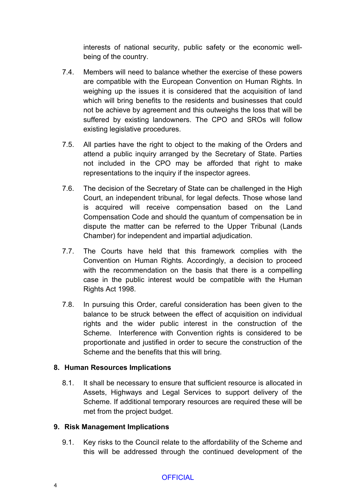interests of national security, public safety or the economic wellbeing of the country.

- 7.4. Members will need to balance whether the exercise of these powers are compatible with the European Convention on Human Rights. In weighing up the issues it is considered that the acquisition of land which will bring benefits to the residents and businesses that could not be achieve by agreement and this outweighs the loss that will be suffered by existing landowners. The CPO and SROs will follow existing legislative procedures.
- 7.5. All parties have the right to object to the making of the Orders and attend a public inquiry arranged by the Secretary of State. Parties not included in the CPO may be afforded that right to make representations to the inquiry if the inspector agrees.
- 7.6. The decision of the Secretary of State can be challenged in the High Court, an independent tribunal, for legal defects. Those whose land is acquired will receive compensation based on the Land Compensation Code and should the quantum of compensation be in dispute the matter can be referred to the Upper Tribunal (Lands Chamber) for independent and impartial adjudication.
- 7.7. The Courts have held that this framework complies with the Convention on Human Rights. Accordingly, a decision to proceed with the recommendation on the basis that there is a compelling case in the public interest would be compatible with the Human Rights Act 1998.
- 7.8. In pursuing this Order, careful consideration has been given to the balance to be struck between the effect of acquisition on individual rights and the wider public interest in the construction of the Scheme. Interference with Convention rights is considered to be proportionate and justified in order to secure the construction of the Scheme and the benefits that this will bring.

#### **8. Human Resources Implications**

8.1. It shall be necessary to ensure that sufficient resource is allocated in Assets, Highways and Legal Services to support delivery of the Scheme. If additional temporary resources are required these will be met from the project budget.

#### **9. Risk Management Implications**

9.1. Key risks to the Council relate to the affordability of the Scheme and this will be addressed through the continued development of the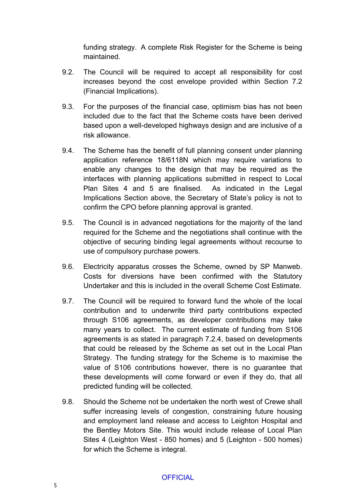funding strategy. A complete Risk Register for the Scheme is being maintained.

- 9.2. The Council will be required to accept all responsibility for cost increases beyond the cost envelope provided within Section 7.2 (Financial Implications).
- 9.3. For the purposes of the financial case, optimism bias has not been included due to the fact that the Scheme costs have been derived based upon a well-developed highways design and are inclusive of a risk allowance.
- 9.4. The Scheme has the benefit of full planning consent under planning application reference 18/6118N which may require variations to enable any changes to the design that may be required as the interfaces with planning applications submitted in respect to Local Plan Sites 4 and 5 are finalised. As indicated in the Legal Implications Section above, the Secretary of State's policy is not to confirm the CPO before planning approval is granted.
- 9.5. The Council is in advanced negotiations for the majority of the land required for the Scheme and the negotiations shall continue with the objective of securing binding legal agreements without recourse to use of compulsory purchase powers.
- 9.6. Electricity apparatus crosses the Scheme, owned by SP Manweb. Costs for diversions have been confirmed with the Statutory Undertaker and this is included in the overall Scheme Cost Estimate.
- 9.7. The Council will be required to forward fund the whole of the local contribution and to underwrite third party contributions expected through S106 agreements, as developer contributions may take many years to collect. The current estimate of funding from S106 agreements is as stated in paragraph 7.2.4, based on developments that could be released by the Scheme as set out in the Local Plan Strategy. The funding strategy for the Scheme is to maximise the value of S106 contributions however, there is no guarantee that these developments will come forward or even if they do, that all predicted funding will be collected.
- 9.8. Should the Scheme not be undertaken the north west of Crewe shall suffer increasing levels of congestion, constraining future housing and employment land release and access to Leighton Hospital and the Bentley Motors Site. This would include release of Local Plan Sites 4 (Leighton West - 850 homes) and 5 (Leighton - 500 homes) for which the Scheme is integral.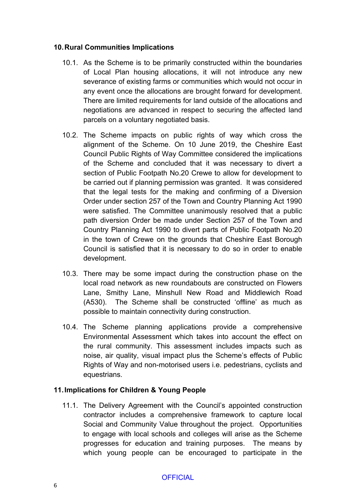### **10.Rural Communities Implications**

- 10.1. As the Scheme is to be primarily constructed within the boundaries of Local Plan housing allocations, it will not introduce any new severance of existing farms or communities which would not occur in any event once the allocations are brought forward for development. There are limited requirements for land outside of the allocations and negotiations are advanced in respect to securing the affected land parcels on a voluntary negotiated basis.
- 10.2. The Scheme impacts on public rights of way which cross the alignment of the Scheme. On 10 June 2019, the Cheshire East Council Public Rights of Way Committee considered the implications of the Scheme and concluded that it was necessary to divert a section of Public Footpath No.20 Crewe to allow for development to be carried out if planning permission was granted. It was considered that the legal tests for the making and confirming of a Diversion Order under section 257 of the Town and Country Planning Act 1990 were satisfied. The Committee unanimously resolved that a public path diversion Order be made under Section 257 of the Town and Country Planning Act 1990 to divert parts of Public Footpath No.20 in the town of Crewe on the grounds that Cheshire East Borough Council is satisfied that it is necessary to do so in order to enable development.
- 10.3. There may be some impact during the construction phase on the local road network as new roundabouts are constructed on Flowers Lane, Smithy Lane, Minshull New Road and Middlewich Road (A530). The Scheme shall be constructed 'offline' as much as possible to maintain connectivity during construction.
- 10.4. The Scheme planning applications provide a comprehensive Environmental Assessment which takes into account the effect on the rural community. This assessment includes impacts such as noise, air quality, visual impact plus the Scheme's effects of Public Rights of Way and non-motorised users i.e. pedestrians, cyclists and equestrians.

## **11.Implications for Children & Young People**

11.1. The Delivery Agreement with the Council's appointed construction contractor includes a comprehensive framework to capture local Social and Community Value throughout the project. Opportunities to engage with local schools and colleges will arise as the Scheme progresses for education and training purposes. The means by which young people can be encouraged to participate in the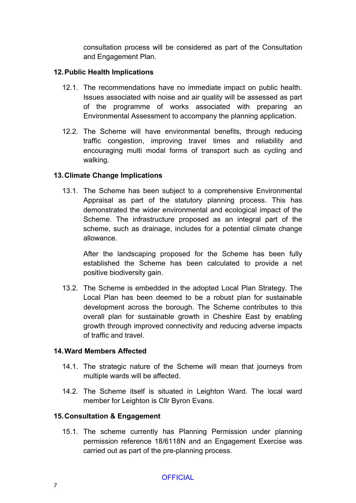consultation process will be considered as part of the Consultation and Engagement Plan.

### **12.Public Health Implications**

- 12.1. The recommendations have no immediate impact on public health. Issues associated with noise and air quality will be assessed as part of the programme of works associated with preparing an Environmental Assessment to accompany the planning application.
- 12.2. The Scheme will have environmental benefits, through reducing traffic congestion, improving travel times and reliability and encouraging multi modal forms of transport such as cycling and walking.

### **13.Climate Change Implications**

13.1. The Scheme has been subject to a comprehensive Environmental Appraisal as part of the statutory planning process. This has demonstrated the wider environmental and ecological impact of the Scheme. The infrastructure proposed as an integral part of the scheme, such as drainage, includes for a potential climate change allowance.

After the landscaping proposed for the Scheme has been fully established the Scheme has been calculated to provide a net positive biodiversity gain.

13.2. The Scheme is embedded in the adopted Local Plan Strategy. The Local Plan has been deemed to be a robust plan for sustainable development across the borough. The Scheme contributes to this overall plan for sustainable growth in Cheshire East by enabling growth through improved connectivity and reducing adverse impacts of traffic and travel.

#### **14.Ward Members Affected**

- 14.1. The strategic nature of the Scheme will mean that journeys from multiple wards will be affected.
- 14.2. The Scheme itself is situated in Leighton Ward. The local ward member for Leighton is Cllr Byron Evans.

#### **15.Consultation & Engagement**

15.1. The scheme currently has Planning Permission under planning permission reference 18/6118N and an Engagement Exercise was carried out as part of the pre-planning process.